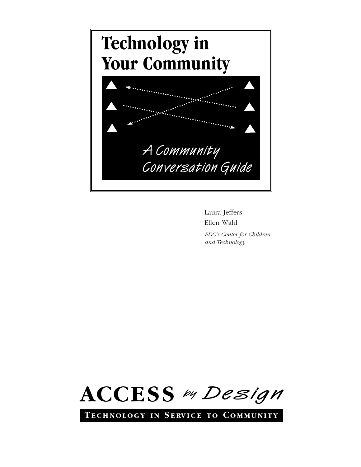

Laura Jeffers Ellen Wahl

*EDC's Center for Children and Technology*



**TE C H N O L O G Y I N S E RV I C E T O CO M M U N I T Y**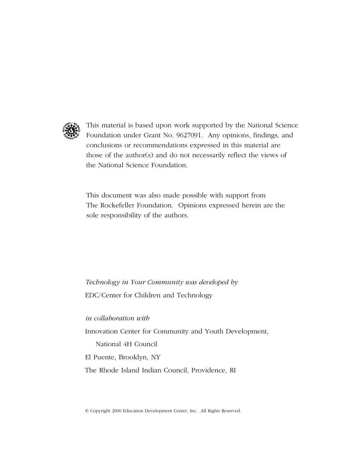

This material is based upon work supported by the National Science Foundation under Grant No. 9627091. Any opinions, findings, and conclusions or recommendations expressed in this material are those of the author(s) and do not necessarily reflect the views of the National Science Foundation.

This document was also made possible with support from The Rockefeller Foundation. Opinions expressed herein are the sole responsibility of the authors.

*Technology in Your Community was developed by* EDC/Center for Children and Technology

*in collaboration with*

Innovation Center for Community and Youth Development,

National 4H Council

El Puente, Brooklyn, NY

The Rhode Island Indian Council, Providence, RI

© Copyright 2000 Education Development Center, Inc. All Rights Reserved.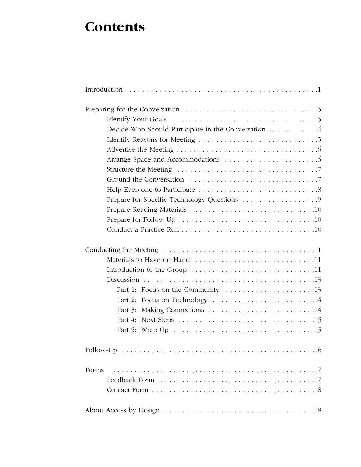## **Contents**

| Decide Who Should Participate in the Conversation 4 |
|-----------------------------------------------------|
|                                                     |
|                                                     |
|                                                     |
|                                                     |
|                                                     |
|                                                     |
| Prepare for Specific Technology Questions 9         |
|                                                     |
|                                                     |
|                                                     |
|                                                     |
|                                                     |
|                                                     |
|                                                     |
|                                                     |
|                                                     |
| Part 2: Focus on Technology 14                      |
|                                                     |
|                                                     |
|                                                     |
|                                                     |
| Forms                                               |
|                                                     |
|                                                     |
|                                                     |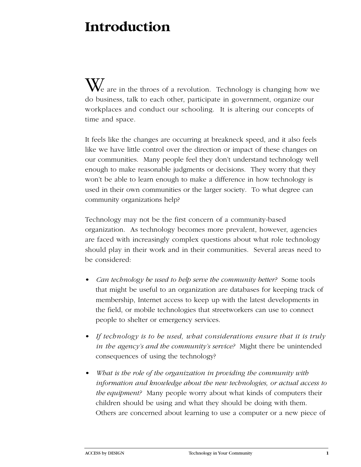# **Introduction**

 $\mathbf{W}_{\epsilon}$  are in the throes of a revolution. Technology is changing how we do business, talk to each other, participate in government, organize our workplaces and conduct our schooling. It is altering our concepts of time and space.

It feels like the changes are occurring at breakneck speed, and it also feels like we have little control over the direction or impact of these changes on our communities. Many people feel they don't understand technology well enough to make reasonable judgments or decisions. They worry that they won't be able to learn enough to make a difference in how technology is used in their own communities or the larger society. To what degree can community organizations help?

Technology may not be the first concern of a community-based organization. As technology becomes more prevalent, however, agencies are faced with increasingly complex questions about what role technology should play in their work and in their communities. Several areas need to be considered:

- *Can technology be used to help serve the community better?* Some tools that might be useful to an organization are databases for keeping track of membership, Internet access to keep up with the latest developments in the field, or mobile technologies that streetworkers can use to connect people to shelter or emergency services.
- *If technology is to be used, what considerations ensure that it is truly in the agency's and the community's service?* Might there be unintended consequences of using the technology?
- *What is the role of the organization in providing the community with information and knowledge about the new technologies, or actual access to the equipment?* Many people worry about what kinds of computers their children should be using and what they should be doing with them. Others are concerned about learning to use a computer or a new piece of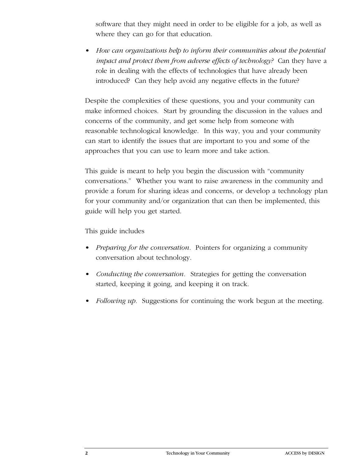software that they might need in order to be eligible for a job, as well as where they can go for that education.

• *How can organizations help to inform their communities about the potential impact and protect them from adverse effects of technology?* Can they have a role in dealing with the effects of technologies that have already been introduced? Can they help avoid any negative effects in the future?

Despite the complexities of these questions, you and your community can make informed choices. Start by grounding the discussion in the values and concerns of the community, and get some help from someone with reasonable technological knowledge. In this way, you and your community can start to identify the issues that are important to you and some of the approaches that you can use to learn more and take action.

This guide is meant to help you begin the discussion with "community conversations." Whether you want to raise awareness in the community and provide a forum for sharing ideas and concerns, or develop a technology plan for your community and/or organization that can then be implemented, this guide will help you get started.

### This guide includes

- *Preparing for the conversation.* Pointers for organizing a community conversation about technology.
- *Conducting the conversation.* Strategies for getting the conversation started, keeping it going, and keeping it on track.
- *Following up.* Suggestions for continuing the work begun at the meeting.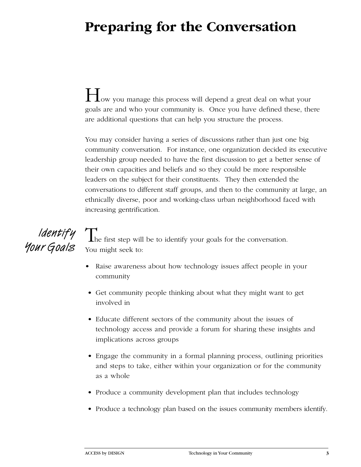# **Preparing for the Conversation**

How you manage this process will depend a great deal on what your goals are and who your community is. Once you have defined these, there are additional questions that can help you structure the process.

You may consider having a series of discussions rather than just one big community conversation. For instance, one organization decided its executive leadership group needed to have the first discussion to get a better sense of their own capacities and beliefs and so they could be more responsible leaders on the subject for their constituents. They then extended the conversations to different staff groups, and then to the community at large, an ethnically diverse, poor and working-class urban neighborhood faced with increasing gentrification.



*Identify*  $\Gamma$ <sub>he first step will be to identify your goals for the conversation.</sub> You might seek to:

- Raise awareness about how technology issues affect people in your community
- Get community people thinking about what they might want to get involved in
- Educate different sectors of the community about the issues of technology access and provide a forum for sharing these insights and implications across groups
- Engage the community in a formal planning process, outlining priorities and steps to take, either within your organization or for the community as a whole
- Produce a community development plan that includes technology
- Produce a technology plan based on the issues community members identify.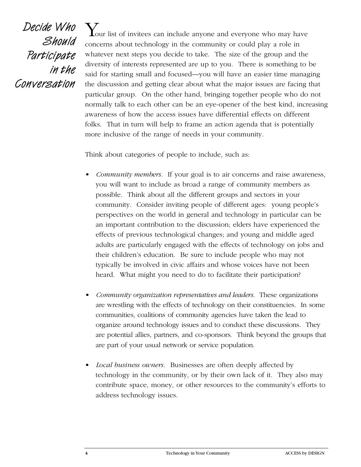Decide Who Should Participate in the Conversation

 $\boldsymbol{Y}_{\text{our list of invitees can include anyone and everyone who may have}}$ concerns about technology in the community or could play a role in whatever next steps you decide to take. The size of the group and the diversity of interests represented are up to you. There is something to be said for starting small and focused—you will have an easier time managing the discussion and getting clear about what the major issues are facing that particular group. On the other hand, bringing together people who do not normally talk to each other can be an eye-opener of the best kind, increasing awareness of how the access issues have differential effects on different folks. That in turn will help to frame an action agenda that is potentially more inclusive of the range of needs in your community.

Think about categories of people to include, such as:

- *Community members.* If your goal is to air concerns and raise awareness, you will want to include as broad a range of community members as possible. Think about all the different groups and sectors in your community. Consider inviting people of different ages: young people's perspectives on the world in general and technology in particular can be an important contribution to the discussion; elders have experienced the effects of previous technological changes; and young and middle aged adults are particularly engaged with the effects of technology on jobs and their children's education. Be sure to include people who may not typically be involved in civic affairs and whose voices have not been heard. What might you need to do to facilitate their participation?
- *Community organization representatives and leaders.* These organizations are wrestling with the effects of technology on their constituencies. In some communities, coalitions of community agencies have taken the lead to o rganize around technology issues and to conduct these discussions. They a re potential allies, partners, and co-sponsors. Think beyond the groups that are part of your usual network or service population.
- *Local business owners.* Businesses are often deeply affected by technology in the community, or by their own lack of it. They also may contribute space, money, or other resources to the community's efforts to address technology issues.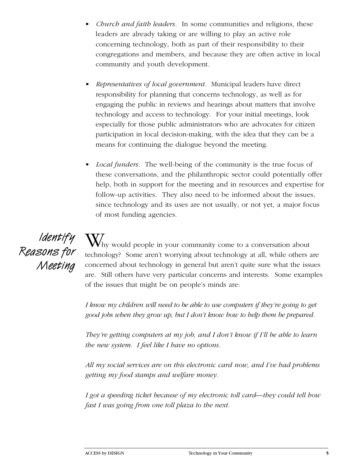- *Church and faith leaders.* In some communities and religions, these leaders are already taking or are willing to play an active role concerning technology, both as part of their responsibility to their congregations and members, and because they are often active in local community and youth development.
- *Representatives of local government.* Municipal leaders have direct responsibility for planning that concerns technology, as well as for engaging the public in reviews and hearings about matters that involve technology and access to technology. For your initial meetings, look especially for those public administrators who are advocates for citizen participation in local decision-making, with the idea that they can be a means for continuing the dialogue beyond the meeting.
- *Local funders.* The well-being of the community is the true focus of these conversations, and the philanthropic sector could potentially offer help, both in support for the meeting and in resources and expertise for follow-up activities. They also need to be informed about the issues, since technology and its uses are not usually, or not yet, a major focus of most funding agencies.

Identify Reasons for Meeting

 $\mathbf{W}_\text{hy}$  would people in your community come to a conversation about technology? Some aren't worrying about technology at all, while others are concerned about technology in general but aren't quite sure what the issues are. Still others have very particular concerns and interests. Some examples of the issues that might be on people's minds are:

*I know my children will need to be able to use computers if they're going to get* good jobs when they grow up, but I don't know how to help them be prepared.

*They're getting computers at my job, and I don't know if I'll be able to learn the new system. I feel like I have no options.*

*All my social services are on this electronic card now, and I've had problems getting my food stamps and welfare money.*

*I got a speeding ticket because of my electronic toll card—they could tell how fast I was going from one toll plaza to the next.*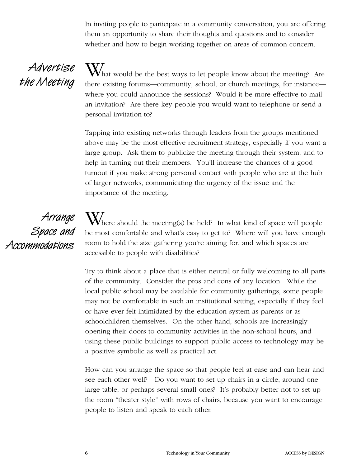In inviting people to participate in a community conversation, you are offering them an opportunity to share their thoughts and questions and to consider whether and how to begin working together on areas of common concern.

## Advertise the Meeting

What would be the best ways to let people know about the meeting? Are there existing forums—community, school, or church meetings, for instance where you could announce the sessions? Would it be more effective to mail an invitation? Are there key people you would want to telephone or send a personal invitation to?

Tapping into existing networks through leaders from the groups mentioned above may be the most effective recruitment strategy, especially if you want a large group. Ask them to publicize the meeting through their system, and to help in turning out their members. You'll increase the chances of a good turnout if you make strong personal contact with people who are at the hub of larger networks, communicating the urgency of the issue and the importance of the meeting.

Arrange Space and Accommodations

 $W_{\text{here}}$  should the meeting(s) be held? In what kind of space will people be most comfortable and what's easy to get to? Where will you have enough room to hold the size gathering you're aiming for, and which spaces are accessible to people with disabilities?

Try to think about a place that is either neutral or fully welcoming to all parts of the community. Consider the pros and cons of any location. While the local public school may be available for community gatherings, some people may not be comfortable in such an institutional setting, especially if they feel or have ever felt intimidated by the education system as parents or as schoolchildren themselves. On the other hand, schools are increasingly opening their doors to community activities in the non-school hours, and using these public buildings to support public access to technology may be a positive symbolic as well as practical act.

How can you arrange the space so that people feel at ease and can hear and see each other well? Do you want to set up chairs in a circle, around one large table, or perhaps several small ones? It's probably better not to set up the room "theater style" with rows of chairs, because you want to encourage people to listen and speak to each other.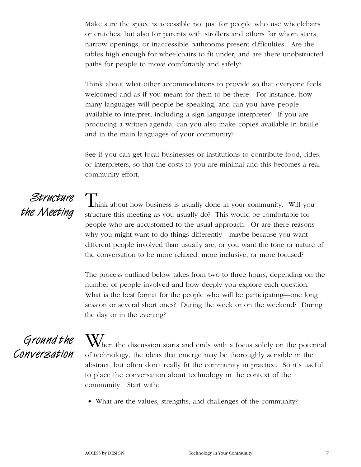Make sure the space is accessible not just for people who use wheelchairs or crutches, but also for parents with strollers and others for whom stairs, narrow openings, or inaccessible bathrooms present difficulties. Are the tables high enough for wheelchairs to fit under, and are there unobstructed paths for people to move comfortably and safely?

Think about what other accommodations to provide so that everyone feels welcomed and as if you meant for them to be there. For instance, how many languages will people be speaking, and can you have people available to interpret, including a sign language interpreter? If you are p roducing a written agenda, can you also make copies available in braille and in the main languages of your community?

See if you can get local businesses or institutions to contribute food, rides, or interpreters, so that the costs to you are minimal and this becomes a real community effort.

## Structure the Meeting

Think about how business is usually done in your community. Will you structure this meeting as you usually do? This would be comfortable for people who are accustomed to the usual approach. Or are there reasons why you might want to do things differently—maybe because you want different people involved than usually are, or you want the tone or nature of the conversation to be more relaxed, more inclusive, or more focused?

The process outlined below takes from two to three hours, depending on the number of people involved and how deeply you explore each question. What is the best format for the people who will be participating—one long session or several short ones? During the week or on the weekend? During the day or in the evening?

Ground the Conversation

When the discussion starts and ends with a focus solely on the potential of technology, the ideas that emerge may be thoroughly sensible in the abstract, but often don't really fit the community in practice. So it's useful to place the conversation about technology in the context of the community. Start with:

• What are the values, strengths, and challenges of the community?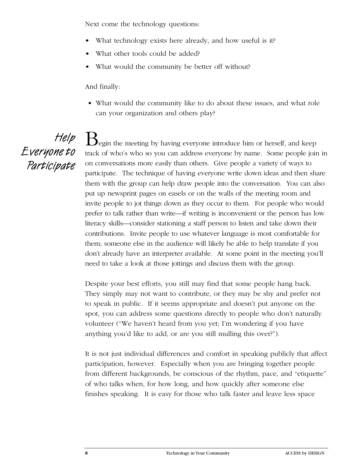Next come the technology questions:

- What technology exists here already, and how useful is it?
- What other tools could be added?
- What would the community be better off without?

And finally:

• What would the community like to do about these issues, and what role can your organization and others play?

Help Everyone to Participate

Begin the meeting by having everyone introduce him or herself, and keep track of who's who so you can address everyone by name. Some people join in on conversations more easily than others. Give people a variety of ways to participate. The technique of having everyone write down ideas and then share them with the group can help draw people into the conversation. You can also put up newsprint pages on easels or on the walls of the meeting room and invite people to jot things down as they occur to them. For people who would p refer to talk rather than write—if writing is inconvenient or the person has low literacy skills—consider stationing a staff person to listen and take down their contributions. Invite people to use whatever language is most comfortable for them; someone else in the audience will likely be able to help translate if you don't already have an interpreter available. At some point in the meeting you'll need to take a look at those jottings and discuss them with the group.

Despite your best efforts, you still may find that some people hang back. They simply may not want to contribute, or they may be shy and prefer not to speak in public. If it seems appropriate and doesn't put anyone on the spot, you can address some questions directly to people who don't naturally volunteer ("We haven't heard from you yet; I'm wondering if you have anything you'd like to add, or are you still mulling this over?").

It is not just individual differences and comfort in speaking publicly that affect participation, however. Especially when you are bringing together people from different backgrounds, be conscious of the rhythm, pace, and "etiquette" of who talks when, for how long, and how quickly after someone else finishes speaking. It is easy for those who talk faster and leave less space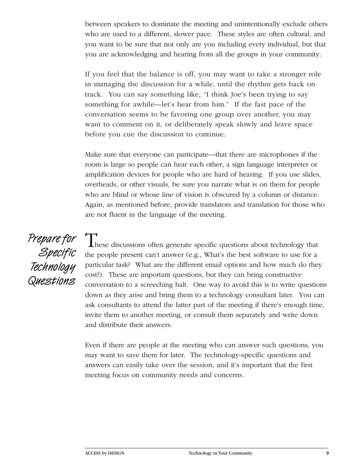between speakers to dominate the meeting and unintentionally exclude others who are used to a different, slower pace. These styles are often cultural, and you want to be sure that not only are you including every individual, but that you are acknowledging and hearing from all the groups in your community.

If you feel that the balance is off, you may want to take a stronger role in managing the discussion for a while, until the rhythm gets back on track. You can say something like, "I think Joe's been trying to say something for awhile—let's hear from him." If the fast pace of the conversation seems to be favoring one group over another, you may want to comment on it, or deliberately speak slowly and leave space before you cue the discussion to continue.

Make sure that everyone can participate—that there are microphones if the room is large so people can hear each other, a sign language interpreter or amplification devices for people who are hard of hearing. If you use slides, overheads, or other visuals, be sure you narrate what is on them for people who are blind or whose line of vision is obscured by a column or distance. Again, as mentioned before, provide translators and translation for those who are not fluent in the language of the meeting.

Prepare for Specific Technology Questions

These discussions often generate specific questions about technology that the people present can't answer (e.g., What's the best software to use for a particular task? What are the different email options and how much do they cost?). These are important questions, but they can bring constructive conversation to a screeching halt. One way to avoid this is to write questions down as they arise and bring them to a technology consultant later. You can ask consultants to attend the latter part of the meeting if there's enough time, invite them to another meeting, or consult them separately and write down and distribute their answers.

Even if there are people at the meeting who can answer such questions, you may want to save them for later. The technology-specific questions and answers can easily take over the session, and it's important that the first meeting focus on community needs and concerns.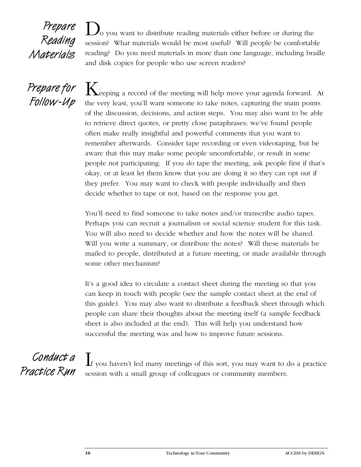## Prepare Reading Materials

 $\mathcal{L}_{\text{O}}$  you want to distribute reading materials either before or during the session? What materials would be most useful? Will people be comfortable reading? Do you need materials in more than one language, including braille and disk copies for people who use screen readers?

Prepare for Follow-Up

 ${\mathbf K}$ eeping a record of the meeting will help move your agenda forward. At the very least, you'll want someone to take notes, capturing the main points of the discussion, decisions, and action steps. You may also want to be able to retrieve direct quotes, or pretty close paraphrases; we've found people often make really insightful and powerful comments that you want to remember afterwards. Consider tape recording or even videotaping, but be aware that this may make some people uncomfortable, or result in some people not participating. If you do tape the meeting, ask people first if that's okay, or at least let them know that you are doing it so they can opt out if they prefer. You may want to check with people individually and then decide whether to tape or not, based on the response you get.

You'll need to find someone to take notes and/or transcribe audio tapes. Perhaps you can recruit a journalism or social science student for this task. You will also need to decide whether and how the notes will be shared. Will you write a summary, or distribute the notes? Will these materials be mailed to people, distributed at a future meeting, or made available through some other mechanism?

It's a good idea to circulate a contact sheet during the meeting so that you can keep in touch with people (see the sample contact sheet at the end of this guide). You may also want to distribute a feedback sheet through which people can share their thoughts about the meeting itself (a sample feedback sheet is also included at the end). This will help you understand how successful the meeting was and how to improve future sessions.

Conduct a Practice Run

If you haven't led many meetings of this sort, you may want to do a practice session with a small group of colleagues or community members.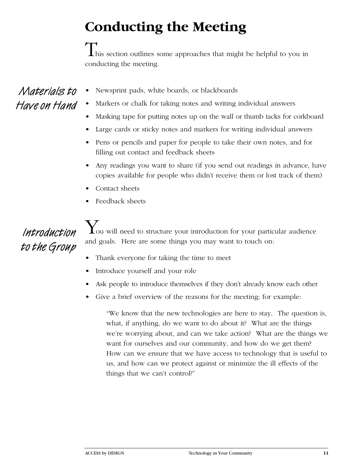# **Conducting the Meeting**

 $\mathbf I$  his section outlines some approaches that might be helpful to you in conducting the meeting.

Materials to Have on Hand

- Newsprint pads, white boards, or blackboards
- Markers or chalk for taking notes and writing individual answers
- Masking tape for putting notes up on the wall or thumb tacks for corkboard
- Large cards or sticky notes and markers for writing individual answers
- Pens or pencils and paper for people to take their own notes, and for filling out contact and feedback sheets
- Any readings you want to share (if you send out readings in advance, have copies available for people who didn't receive them or lost track of them)
- Contact sheets
- Feedback sheets

# Introduction to the Group

 $\mathbf{Y}_{\text{ou will need to structure your introduction for your particular audience}}$ and goals. Here are some things you may want to touch on:

- Thank everyone for taking the time to meet
- Introduce yourself and your role
- Ask people to introduce themselves if they don't already know each other
- Give a brief overview of the reasons for the meeting; for example:

"We know that the new technologies are here to stay. The question is, what, if anything, do we want to do about it? What are the things we're worrying about, and can we take action? What are the things we want for ourselves and our community, and how do we get them? How can we ensure that we have access to technology that is useful to us, and how can we protect against or minimize the ill effects of the things that we can't control?"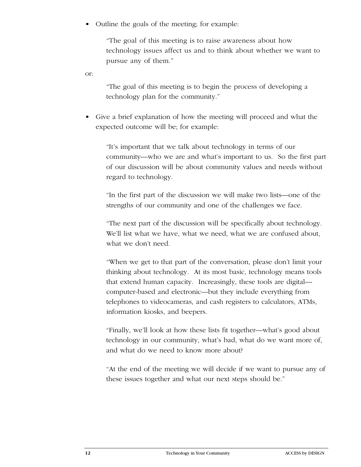• Outline the goals of the meeting; for example:

"The goal of this meeting is to raise awareness about how technology issues affect us and to think about whether we want to pursue any of them."

or:

"The goal of this meeting is to begin the process of developing a technology plan for the community."

• Give a brief explanation of how the meeting will proceed and what the expected outcome will be; for example:

"It's important that we talk about technology in terms of our community—who we are and what's important to us. So the first part of our discussion will be about community values and needs without regard to technology.

"In the first part of the discussion we will make two lists—one of the strengths of our community and one of the challenges we face.

"The next part of the discussion will be specifically about technology. We'll list what we have, what we need, what we are confused about, what we don't need.

"When we get to that part of the conversation, please don't limit your thinking about technology. At its most basic, technology means tools that extend human capacity. Increasingly, these tools are digital computer-based and electronic—but they include everything from telephones to videocameras, and cash registers to calculators, ATMs, information kiosks, and beepers.

"Finally, we'll look at how these lists fit together—what's good about technology in our community, what's bad, what do we want more of, and what do we need to know more about?

"At the end of the meeting we will decide if we want to pursue any of these issues together and what our next steps should be."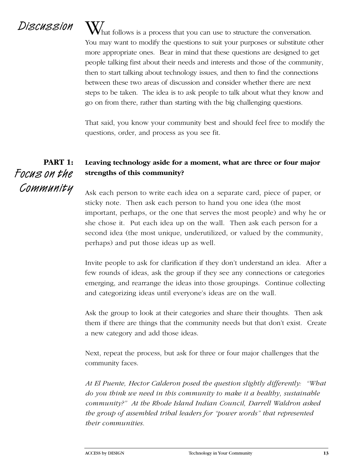$Discussion$   $W<sub>hat</sub>$  follows is a process that you can use to structure the conversation. You may want to modify the questions to suit your purposes or substitute other more appropriate ones. Bear in mind that these questions are designed to get people talking first about their needs and interests and those of the community, then to start talking about technology issues, and then to find the connections between these two areas of discussion and consider whether there are next steps to be taken. The idea is to ask people to talk about what they know and go on from there, rather than starting with the big challenging questions.

> That said, you know your community best and should feel free to modify the questions, order, and process as you see fit.

### **Leaving technology aside for a moment, what are three or four major strengths of this community? PART 1:** Focus on the Community

Ask each person to write each idea on a separate card, piece of paper, or sticky note. Then ask each person to hand you one idea (the most important, perhaps, or the one that serves the most people) and why he or she chose it. Put each idea up on the wall. Then ask each person for a second idea (the most unique, underutilized, or valued by the community, perhaps) and put those ideas up as well.

Invite people to ask for clarification if they don't understand an idea. After a few rounds of ideas, ask the group if they see any connections or categories em erging, and rearrange the ideas into those groupings. Continue collecting and categorizing ideas until everyone's ideas are on the wall.

Ask the group to look at their categories and share their thoughts. Then ask them if there are things that the community needs but that don't exist. Create a new category and add those ideas.

Next, repeat the process, but ask for three or four major challenges that the community faces.

At El Puente, Hector Calderon posed the question slightly differently: "What *do you think we need in this community to make it a healthy, sustainable community?" At the Rhode Island Indian Council, Darrell Waldron asked the group of assembled tribal leaders for "power words" that represented their communities.*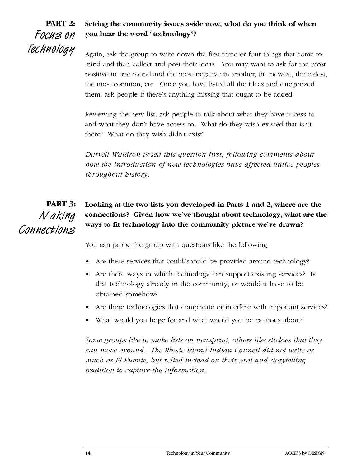

### **Setting the community issues aside now, what do you think of when you hear the word "technology"?**

Again, ask the group to write down the first three or four things that come to mind and then collect and post their ideas. You may want to ask for the most positive in one round and the most negative in another, the newest, the oldest, the most common, etc. Once you have listed all the ideas and categorized them, ask people if there's anything missing that ought to be added.

Reviewing the new list, ask people to talk about what they have access to and what they don't have access to. What do they wish existed that isn't there? What do they wish didn't exist?

*Darrell Waldron posed this question first, following comments about how the introduction of new technologies have affected native peoples t h roughout history.*

**Looking at the two lists you developed in Parts 1 and 2, where are the connections? Given how we've thought about technology, what are the ways to fit technology into the community picture we've drawn? PART 3:** Making Connections

You can probe the group with questions like the following:

- Are there services that could/should be provided around technology?
- Are there ways in which technology can support existing services? Is that technology already in the community, or would it have to be obtained somehow?
- Are there technologies that complicate or interfere with important services?
- What would you hope for and what would you be cautious about?

*Some groups like to make lists on newsprint, others like stickies that they can move around. The Rhode Island Indian Council did not write as much as El Puente, but relied instead on their oral and storytelling tradition to capture the information.*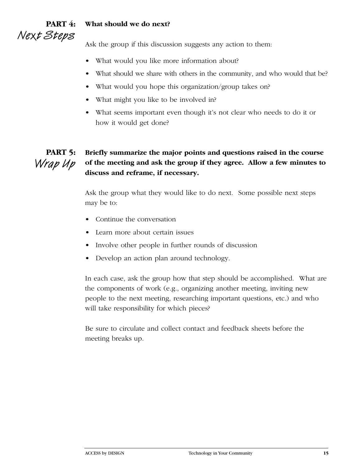### **PART 4:** Next Steps **What should we do next?**

Ask the group if this discussion suggests any action to them:

- What would you like more information about?
- What should we share with others in the community, and who would that be?
- What would you hope this organization/group takes on?
- What might you like to be involved in?
- What seems important even though it's not clear who needs to do it or how it would get done?

### **PART 5:** Wrap Up **Briefly summarize the major points and questions raised in the course of the meeting and ask the group if they agree. Allow a few minutes to discuss and reframe, if necessary.**

Ask the group what they would like to do next. Some possible next steps may be to:

- Continue the conversation
- Learn more about certain issues
- Involve other people in further rounds of discussion
- Develop an action plan around technology.

In each case, ask the group how that step should be accomplished. What are the components of work (e.g., organizing another meeting, inviting new people to the next meeting, researching important questions, etc.) and who will take responsibility for which pieces?

Be sure to circulate and collect contact and feedback sheets before the meeting breaks up.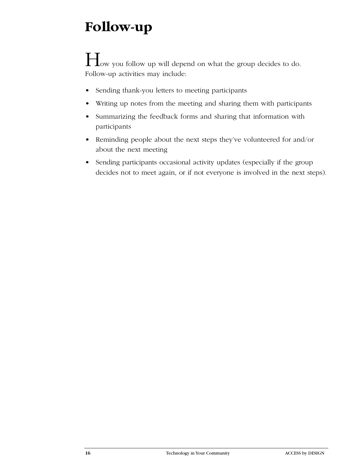# **Follow-up**

## $\prod_{vw}$  you follow up will depend on what the group decides to do. Follow-up activities may include:

- Sending thank-you letters to meeting participants
- Writing up notes from the meeting and sharing them with participants
- Summarizing the feedback forms and sharing that information with participants
- Reminding people about the next steps they've volunteered for and/or about the next meeting
- Sending participants occasional activity updates (especially if the group decides not to meet again, or if not everyone is involved in the next steps).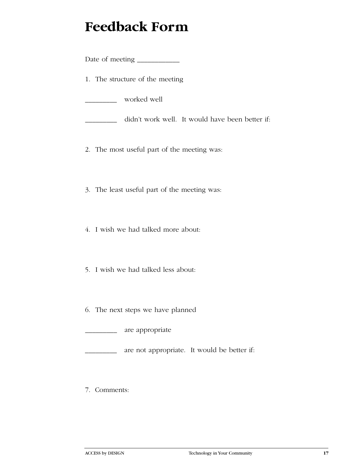# **Feedback Form**

Date of meeting \_\_\_\_\_\_\_\_\_\_\_\_

1. The structure of the meeting

\_\_\_\_\_\_\_\_\_ worked well

didn't work well. It would have been better if:

- 2. The most useful part of the meeting was:
- 3. The least useful part of the meeting was:
- 4. I wish we had talked more about:
- 5. I wish we had talked less about:
- 6. The next steps we have planned

**\_\_\_\_\_\_\_\_** are appropriate

are not appropriate. It would be better if:

7. Comments: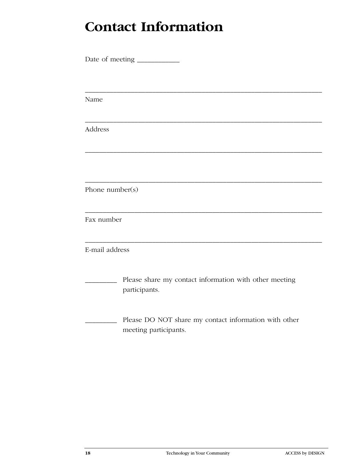# **Contact Information**

| Name            |                                                                                |  |
|-----------------|--------------------------------------------------------------------------------|--|
| Address         |                                                                                |  |
|                 |                                                                                |  |
| Phone number(s) |                                                                                |  |
| Fax number      |                                                                                |  |
| E-mail address  |                                                                                |  |
|                 | Please share my contact information with other meeting<br>participants.        |  |
|                 | Please DO NOT share my contact information with other<br>meeting participants. |  |